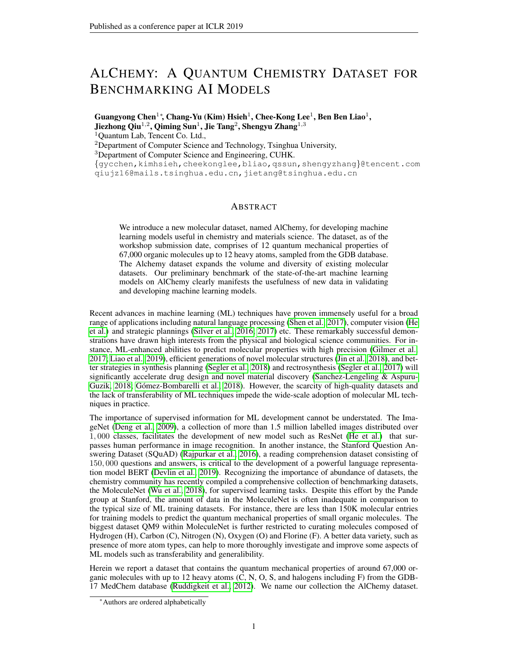# <span id="page-0-0"></span>ALCHEMY: A QUANTUM CHEMISTRY DATASET FOR BENCHMARKING AI MODELS

Guangyong Chen<sup>1</sup>\*, Chang-Yu (Kim) Hsieh<sup>1</sup>, Chee-Kong Lee<sup>1</sup>, Ben Ben Liao<sup>1</sup>, Jiezhong Qiu<sup>1,2</sup>, Qiming Sun<sup>1</sup>, Jie Tang<sup>2</sup>, Shengyu Zhang<sup>1,3</sup>

<sup>1</sup>Quantum Lab, Tencent Co. Ltd.,

<sup>2</sup>Department of Computer Science and Technology, Tsinghua University,

<sup>3</sup>Department of Computer Science and Engineering, CUHK.

{gycchen,kimhsieh,cheekonglee,bliao,qssun,shengyzhang}@tencent.com qiujz16@mails.tsinghua.edu.cn,jietang@tsinghua.edu.cn

## ABSTRACT

We introduce a new molecular dataset, named AlChemy, for developing machine learning models useful in chemistry and materials science. The dataset, as of the workshop submission date, comprises of 12 quantum mechanical properties of 67,000 organic molecules up to 12 heavy atoms, sampled from the GDB database. The Alchemy dataset expands the volume and diversity of existing molecular datasets. Our preliminary benchmark of the state-of-the-art machine learning models on AlChemy clearly manifests the usefulness of new data in validating and developing machine learning models.

Recent advances in machine learning (ML) techniques have proven immensely useful for a broad range of applications including natural language processing [\(Shen et al., 2017\)](#page-5-0), computer vision [\(He](#page-4-0) [et al.\)](#page-4-0) and strategic plannings [\(Silver et al., 2016;](#page-5-1) [2017\)](#page-5-2) etc. These remarkably successful demonstrations have drawn high interests from the physical and biological science communities. For instance, ML-enhanced abilities to predict molecular properties with high precision [\(Gilmer et al.,](#page-4-1) [2017;](#page-4-1) [Liao et al., 2019\)](#page-4-2), efficient generations of novel molecular structures [\(Jin et al., 2018\)](#page-4-3), and better strategies in synthesis planning [\(Segler et al., 2018\)](#page-5-3) and rectrosynthesis [\(Segler et al., 2017\)](#page-5-4) will significantly accelerate drug design and novel material discovery [\(Sanchez-Lengeling & Aspuru-](#page-4-4)[Guzik, 2018;](#page-4-4) Gómez-Bombarelli et al., 2018). However, the scarcity of high-quality datasets and the lack of transferability of ML techniques impede the wide-scale adoption of molecular ML techniques in practice.

The importance of supervised information for ML development cannot be understated. The ImageNet [\(Deng et al., 2009\)](#page-4-6), a collection of more than 1.5 million labelled images distributed over 1, 000 classes, facilitates the development of new model such as ResNet [\(He et al.\)](#page-4-0) that surpasses human performance in image recognition. In another instance, the Stanford Question Answering Dataset (SQuAD) [\(Rajpurkar et al., 2016\)](#page-4-7), a reading comprehension dataset consisting of 150, 000 questions and answers, is critical to the development of a powerful language representation model BERT [\(Devlin et al., 2019\)](#page-4-8). Recognizing the importance of abundance of datasets, the chemistry community has recently compiled a comprehensive collection of benchmarking datasets, the MoleculeNet [\(Wu et al., 2018\)](#page-5-5), for supervised learning tasks. Despite this effort by the Pande group at Stanford, the amount of data in the MoleculeNet is often inadequate in comparison to the typical size of ML training datasets. For instance, there are less than 150K molecular entries for training models to predict the quantum mechanical properties of small organic molecules. The biggest dataset QM9 within MoleculeNet is further restricted to curating molecules composed of Hydrogen (H), Carbon (C), Nitrogen (N), Oxygen (O) and Florine (F). A better data variety, such as presence of more atom types, can help to more thoroughly investigate and improve some aspects of ML models such as transferability and generalibility.

Herein we report a dataset that contains the quantum mechanical properties of around 67,000 organic molecules with up to 12 heavy atoms (C, N, O, S, and halogens including F) from the GDB-17 MedChem database [\(Ruddigkeit et al., 2012\)](#page-4-9). We name our collection the AlChemy dataset.

<sup>∗</sup>Authors are ordered alphabetically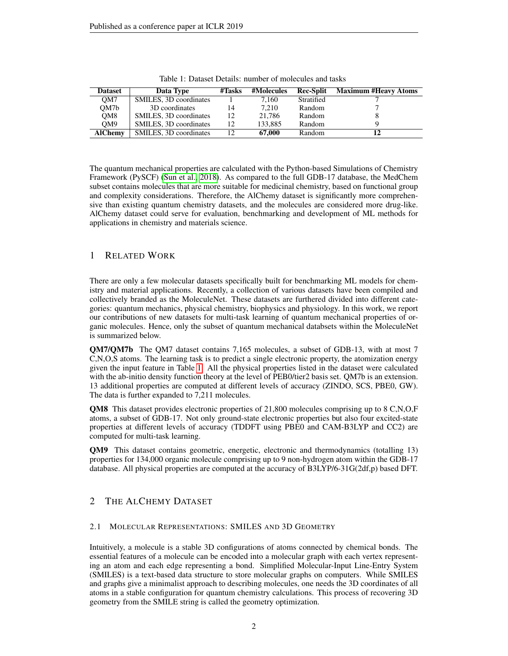| <b>Dataset</b>  | Data Type              | #Tasks | #Molecules | <b>Rec-Split</b> | <b>Maximum #Heavy Atoms</b> |
|-----------------|------------------------|--------|------------|------------------|-----------------------------|
| OM7             | SMILES, 3D coordinates |        | 7.160      | Stratified       |                             |
| OM7b            | 3D coordinates         | 14     | 7.210      | Random           |                             |
| OM8             | SMILES, 3D coordinates | 12     | 21.786     | Random           |                             |
| OM <sub>9</sub> | SMILES, 3D coordinates | 12     | 133.885    | Random           |                             |
| <b>AlChemy</b>  | SMILES, 3D coordinates | 12     | 67,000     | Random           |                             |

Table 1: Dataset Details: number of molecules and tasks

The quantum mechanical properties are calculated with the Python-based Simulations of Chemistry Framework (PySCF) [\(Sun et al., 2018\)](#page-5-6). As compared to the full GDB-17 database, the MedChem subset contains molecules that are more suitable for medicinal chemistry, based on functional group and complexity considerations. Therefore, the AlChemy dataset is significantly more comprehensive than existing quantum chemistry datasets, and the molecules are considered more drug-like. AlChemy dataset could serve for evaluation, benchmarking and development of ML methods for applications in chemistry and materials science.

# <span id="page-1-0"></span>1 RELATED WORK

There are only a few molecular datasets specifically built for benchmarking ML models for chemistry and material applications. Recently, a collection of various datasets have been compiled and collectively branded as the MoleculeNet. These datasets are furthered divided into different categories: quantum mechanics, physical chemistry, biophysics and physiology. In this work, we report our contributions of new datasets for multi-task learning of quantum mechanical properties of organic molecules. Hence, only the subset of quantum mechanical databsets within the MoleculeNet is summarized below.

QM7/QM7b The QM7 dataset contains 7,165 molecules, a subset of GDB-13, with at most 7 C,N,O,S atoms. The learning task is to predict a single electronic property, the atomization energy given the input feature in Table [1.](#page-1-0) All the physical properties listed in the dataset were calculated with the ab-initio density function theory at the level of PEB0/tier2 basis set. QM7b is an extension. 13 additional properties are computed at different levels of accuracy (ZINDO, SCS, PBE0, GW). The data is further expanded to 7,211 molecules.

QM8 This dataset provides electronic properties of 21,800 molecules comprising up to 8 C,N,O,F atoms, a subset of GDB-17. Not only ground-state electronic properties but also four excited-state properties at different levels of accuracy (TDDFT using PBE0 and CAM-B3LYP and CC2) are computed for multi-task learning.

QM9 This dataset contains geometric, energetic, electronic and thermodynamics (totalling 13) properties for 134,000 organic molecule comprising up to 9 non-hydrogen atom within the GDB-17 database. All physical properties are computed at the accuracy of B3LYP/6-31G(2df,p) based DFT.

## 2 THE ALCHEMY DATASET

#### 2.1 MOLECULAR REPRESENTATIONS: SMILES AND 3D GEOMETRY

Intuitively, a molecule is a stable 3D configurations of atoms connected by chemical bonds. The essential features of a molecule can be encoded into a molecular graph with each vertex representing an atom and each edge representing a bond. Simplified Molecular-Input Line-Entry System (SMILES) is a text-based data structure to store molecular graphs on computers. While SMILES and graphs give a minimalist approach to describing molecules, one needs the 3D coordinates of all atoms in a stable configuration for quantum chemistry calculations. This process of recovering 3D geometry from the SMILE string is called the geometry optimization.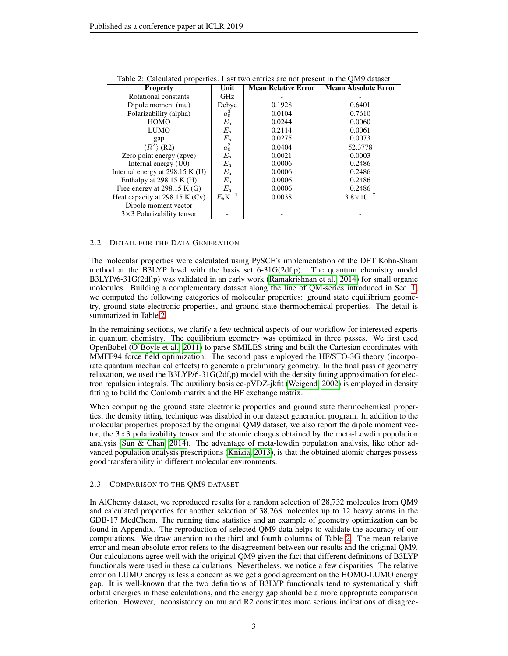| <b>Property</b>                   | Unit            | <b>Mean Relative Error</b> | <b>Meam Absolute Error</b> |
|-----------------------------------|-----------------|----------------------------|----------------------------|
| Rotational constants              | GHz             |                            |                            |
| Dipole moment (mu)                | Debye           | 0.1928                     | 0.6401                     |
| Polarizability (alpha)            | $a_0^3$         | 0.0104                     | 0.7610                     |
| <b>HOMO</b>                       | $E_{\rm h}$     | 0.0244                     | 0.0060                     |
| <b>LUMO</b>                       | $E_{\rm h}$     | 0.2114                     | 0.0061                     |
| gap                               | $E_{\rm h}$     | 0.0275                     | 0.0073                     |
| $\langle R^2 \rangle$ (R2)        | $a_0^2$         | 0.0404                     | 52.3778                    |
| Zero point energy (zpve)          | $E_{\rm h}$     | 0.0021                     | 0.0003                     |
| Internal energy (U0)              | $E_{\rm h}$     | 0.0006                     | 0.2486                     |
| Internal energy at $298.15$ K (U) | $E_{\rm h}$     | 0.0006                     | 0.2486                     |
| Enthalpy at $298.15$ K (H)        | $E_{\rm h}$     | 0.0006                     | 0.2486                     |
| Free energy at $298.15$ K (G)     | $E_{\rm h}$     | 0.0006                     | 0.2486                     |
| Heat capacity at $298.15$ K (Cv)  | $E_h$ K $^{-1}$ | 0.0038                     | $3.8 \times 10^{-7}$       |
| Dipole moment vector              |                 |                            |                            |
| $3\times3$ Polarizability tensor  |                 |                            |                            |

<span id="page-2-0"></span>Table 2: Calculated properties. Last two entries are not present in the QM9 dataset

#### 2.2 DETAIL FOR THE DATA GENERATION

The molecular properties were calculated using PySCF's implementation of the DFT Kohn-Sham method at the B3LYP level with the basis set 6-31G(2df,p). The quantum chemistry model B3LYP/6-31G(2df,p) was validated in an early work [\(Ramakrishnan et al., 2014\)](#page-4-10) for small organic molecules. Building a complementary dataset along the line of QM-series introduced in Sec. [1,](#page-1-0) we computed the following categories of molecular properties: ground state equilibrium geometry, ground state electronic properties, and ground state thermochemical properties. The detail is summarized in Table [2.](#page-2-0)

In the remaining sections, we clarify a few technical aspects of our workflow for interested experts in quantum chemistry. The equilibrium geometry was optimized in three passes. We first used OpenBabel [\(O'Boyle et al., 2011\)](#page-4-11) to parse SMILES string and built the Cartesian coordinates with MMFF94 force field optimization. The second pass employed the HF/STO-3G theory (incorporate quantum mechanical effects) to generate a preliminary geometry. In the final pass of geometry relaxation, we used the B3LYP/6-31G(2df,p) model with the density fitting approximation for electron repulsion integrals. The auxiliary basis cc-pVDZ-jkfit [\(Weigend, 2002\)](#page-5-7) is employed in density fitting to build the Coulomb matrix and the HF exchange matrix.

When computing the ground state electronic properties and ground state thermochemical properties, the density fitting technique was disabled in our dataset generation program. In addition to the molecular properties proposed by the original QM9 dataset, we also report the dipole moment vector, the  $3\times3$  polarizability tensor and the atomic charges obtained by the meta-Lowdin population analysis [\(Sun & Chan, 2014\)](#page-5-8). The advantage of meta-lowdin population analysis, like other advanced population analysis prescriptions [\(Knizia, 2013\)](#page-4-12), is that the obtained atomic charges possess good transferability in different molecular environments.

#### 2.3 COMPARISON TO THE QM9 DATASET

In AlChemy dataset, we reproduced results for a random selection of 28,732 molecules from QM9 and calculated properties for another selection of 38,268 molecules up to 12 heavy atoms in the GDB-17 MedChem. The running time statistics and an example of geometry optimization can be found in Appendix. The reproduction of selected QM9 data helps to validate the accuracy of our computations. We draw attention to the third and fourth columns of Table [2.](#page-2-0) The mean relative error and mean absolute error refers to the disagreement between our results and the original QM9. Our calculations agree well with the original QM9 given the fact that different definitions of B3LYP functionals were used in these calculations. Nevertheless, we notice a few disparities. The relative error on LUMO energy is less a concern as we get a good agreement on the HOMO-LUMO energy gap. It is well-known that the two definitions of B3LYP functionals tend to systematically shift orbital energies in these calculations, and the energy gap should be a more appropriate comparison criterion. However, inconsistency on mu and R2 constitutes more serious indications of disagree-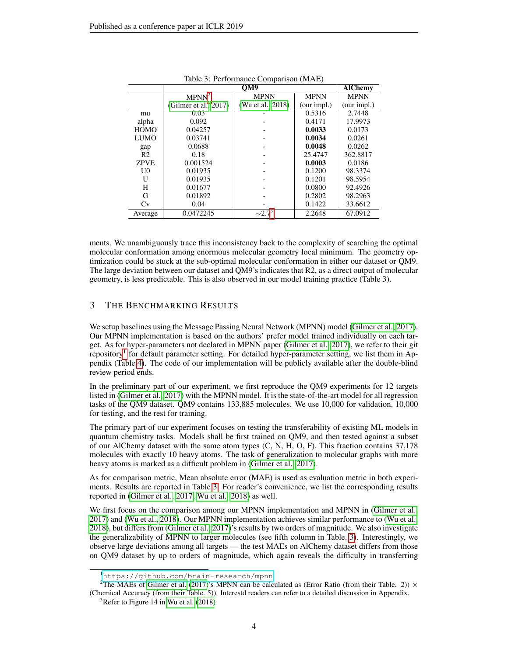|                | л.<br>OM9             |                         |             | <b>AlChemy</b> |
|----------------|-----------------------|-------------------------|-------------|----------------|
|                | MPNN <sup>2</sup>     | <b>MPNN</b>             | <b>MPNN</b> | <b>MPNN</b>    |
|                | (Gilmer et al., 2017) | (Wu et al., 2018)       | (our impl.) | (our impl.)    |
| mu             | 0.03                  |                         | 0.5316      | 2.7448         |
| alpha          | 0.092                 |                         | 0.4171      | 17.9973        |
| <b>HOMO</b>    | 0.04257               |                         | 0.0033      | 0.0173         |
| <b>LUMO</b>    | 0.03741               |                         | 0.0034      | 0.0261         |
| gap            | 0.0688                |                         | 0.0048      | 0.0262         |
| R <sub>2</sub> | 0.18                  |                         | 25.4747     | 362.8817       |
| <b>ZPVE</b>    | 0.001524              |                         | 0.0003      | 0.0186         |
| U0             | 0.01935               |                         | 0.1200      | 98.3374        |
| U              | 0.01935               |                         | 0.1201      | 98.5954        |
| H              | 0.01677               |                         | 0.0800      | 92.4926        |
| G              | 0.01892               |                         | 0.2802      | 98.2963        |
| Cv             | 0.04                  |                         | 0.1422      | 33.6612        |
| Average        | 0.0472245             | $\sim$ 2.7 <sup>3</sup> | 2.2648      | 67.0912        |

<span id="page-3-3"></span>

ments. We unambiguously trace this inconsistency back to the complexity of searching the optimal molecular conformation among enormous molecular geometry local minimum. The geometry optimization could be stuck at the sub-optimal molecular conformation in either our dataset or QM9. The large deviation between our dataset and QM9's indicates that R2, as a direct output of molecular geometry, is less predictable. This is also observed in our model training practice (Table 3).

# <span id="page-3-2"></span>3 THE BENCHMARKING RESULTS

We setup baselines using the Message Passing Neural Network (MPNN) model [\(Gilmer et al., 2017\)](#page-4-1). Our MPNN implementation is based on the authors' prefer model trained individually on each target. As for hyper-parameters not declared in MPNN paper [\(Gilmer et al., 2017\)](#page-4-1), we refer to their git repository<sup>[1](#page-3-1)</sup> for default parameter setting. For detailed hyper-parameter setting, we list them in Appendix (Table [4\)](#page-6-0). The code of our implementation will be publicly available after the double-blind review period ends.

In the preliminary part of our experiment, we first reproduce the QM9 experiments for 12 targets listed in [\(Gilmer et al., 2017\)](#page-4-1) with the MPNN model. It is the state-of-the-art model for all regression tasks of the QM9 dataset. QM9 contains 133,885 molecules. We use 10,000 for validation, 10,000 for testing, and the rest for training.

The primary part of our experiment focuses on testing the transferability of existing ML models in quantum chemistry tasks. Models shall be first trained on QM9, and then tested against a subset of our AlChemy dataset with the same atom types (C, N, H, O, F). This fraction contains 37,178 molecules with exactly 10 heavy atoms. The task of generalization to molecular graphs with more heavy atoms is marked as a difficult problem in [\(Gilmer et al., 2017\)](#page-4-1).

As for comparison metric, Mean absolute error (MAE) is used as evaluation metric in both experiments. Results are reported in Table [3.](#page-3-2) For reader's convenience, we list the corresponding results reported in [\(Gilmer et al., 2017;](#page-4-1) [Wu et al., 2018\)](#page-5-5) as well.

We first focus on the comparison among our MPNN implementation and MPNN in [\(Gilmer et al.,](#page-4-1) [2017\)](#page-4-1) and [\(Wu et al., 2018\)](#page-5-5). Our MPNN implementation achieves similar performance to [\(Wu et al.,](#page-5-5) [2018\)](#page-5-5), but differs from [\(Gilmer et al., 2017\)](#page-4-1)'s results by two orders of magnitude. We also investigate the generalizability of MPNN to larger molecules (see fifth column in Table. [3\)](#page-3-3). Interestingly, we observe large deviations among all targets — the test MAEs on AlChemy dataset differs from those on QM9 dataset by up to orders of magnitude, which again reveals the difficulty in transferring

<span id="page-3-1"></span><sup>1</sup><https://github.com/brain-research/mpnn>

<span id="page-3-0"></span><sup>&</sup>lt;sup>2</sup>The MAEs of [Gilmer et al.](#page-4-1) [\(2017\)](#page-4-1)'s MPNN can be calculated as (Error Ratio (from their Table. 2))  $\times$ (Chemical Accuracy (from their Table. 5)). Interestd readers can refer to a detailed discussion in Appendix.

 $3$ Refer to Figure 14 in [Wu et al.](#page-5-5) [\(2018\)](#page-5-5)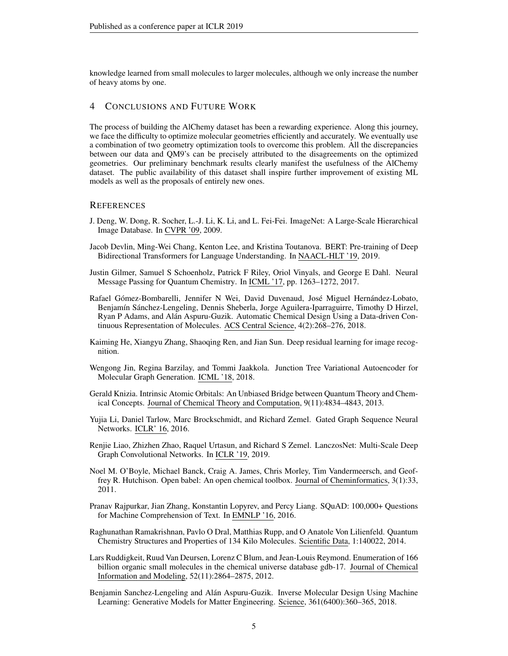knowledge learned from small molecules to larger molecules, although we only increase the number of heavy atoms by one.

## 4 CONCLUSIONS AND FUTURE WORK

The process of building the AlChemy dataset has been a rewarding experience. Along this journey, we face the difficulty to optimize molecular geometries efficiently and accurately. We eventually use a combination of two geometry optimization tools to overcome this problem. All the discrepancies between our data and QM9's can be precisely attributed to the disagreements on the optimized geometries. Our preliminary benchmark results clearly manifest the usefulness of the AlChemy dataset. The public availability of this dataset shall inspire further improvement of existing ML models as well as the proposals of entirely new ones.

### **REFERENCES**

- <span id="page-4-6"></span>J. Deng, W. Dong, R. Socher, L.-J. Li, K. Li, and L. Fei-Fei. ImageNet: A Large-Scale Hierarchical Image Database. In CVPR '09, 2009.
- <span id="page-4-8"></span>Jacob Devlin, Ming-Wei Chang, Kenton Lee, and Kristina Toutanova. BERT: Pre-training of Deep Bidirectional Transformers for Language Understanding. In NAACL-HLT '19, 2019.
- <span id="page-4-1"></span>Justin Gilmer, Samuel S Schoenholz, Patrick F Riley, Oriol Vinyals, and George E Dahl. Neural Message Passing for Quantum Chemistry. In ICML '17, pp. 1263–1272, 2017.
- <span id="page-4-5"></span>Rafael Gómez-Bombarelli, Jennifer N Wei, David Duvenaud, José Miguel Hernández-Lobato, Benjamín Sánchez-Lengeling, Dennis Sheberla, Jorge Aguilera-Iparraguirre, Timothy D Hirzel, Ryan P Adams, and Alan Aspuru-Guzik. Automatic Chemical Design Using a Data-driven Con- ´ tinuous Representation of Molecules. ACS Central Science, 4(2):268–276, 2018.
- <span id="page-4-0"></span>Kaiming He, Xiangyu Zhang, Shaoqing Ren, and Jian Sun. Deep residual learning for image recognition.
- <span id="page-4-3"></span>Wengong Jin, Regina Barzilay, and Tommi Jaakkola. Junction Tree Variational Autoencoder for Molecular Graph Generation. ICML '18, 2018.
- <span id="page-4-12"></span>Gerald Knizia. Intrinsic Atomic Orbitals: An Unbiased Bridge between Quantum Theory and Chemical Concepts. Journal of Chemical Theory and Computation, 9(11):4834–4843, 2013.
- <span id="page-4-13"></span>Yujia Li, Daniel Tarlow, Marc Brockschmidt, and Richard Zemel. Gated Graph Sequence Neural Networks. ICLR' 16, 2016.
- <span id="page-4-2"></span>Renjie Liao, Zhizhen Zhao, Raquel Urtasun, and Richard S Zemel. LanczosNet: Multi-Scale Deep Graph Convolutional Networks. In ICLR '19, 2019.
- <span id="page-4-11"></span>Noel M. O'Boyle, Michael Banck, Craig A. James, Chris Morley, Tim Vandermeersch, and Geoffrey R. Hutchison. Open babel: An open chemical toolbox. Journal of Cheminformatics, 3(1):33, 2011.
- <span id="page-4-7"></span>Pranav Rajpurkar, Jian Zhang, Konstantin Lopyrev, and Percy Liang. SQuAD: 100,000+ Questions for Machine Comprehension of Text. In EMNLP '16, 2016.
- <span id="page-4-10"></span>Raghunathan Ramakrishnan, Pavlo O Dral, Matthias Rupp, and O Anatole Von Lilienfeld. Quantum Chemistry Structures and Properties of 134 Kilo Molecules. Scientific Data, 1:140022, 2014.
- <span id="page-4-9"></span>Lars Ruddigkeit, Ruud Van Deursen, Lorenz C Blum, and Jean-Louis Reymond. Enumeration of 166 billion organic small molecules in the chemical universe database gdb-17. Journal of Chemical Information and Modeling, 52(11):2864–2875, 2012.
- <span id="page-4-4"></span>Benjamin Sanchez-Lengeling and Alán Aspuru-Guzik. Inverse Molecular Design Using Machine Learning: Generative Models for Matter Engineering. Science, 361(6400):360–365, 2018.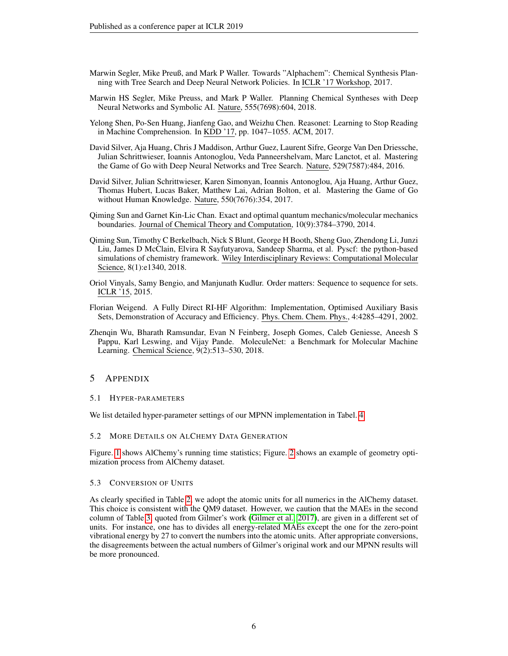- <span id="page-5-4"></span>Marwin Segler, Mike Preuß, and Mark P Waller. Towards "Alphachem": Chemical Synthesis Planning with Tree Search and Deep Neural Network Policies. In ICLR '17 Workshop, 2017.
- <span id="page-5-3"></span>Marwin HS Segler, Mike Preuss, and Mark P Waller. Planning Chemical Syntheses with Deep Neural Networks and Symbolic AI. Nature, 555(7698):604, 2018.
- <span id="page-5-0"></span>Yelong Shen, Po-Sen Huang, Jianfeng Gao, and Weizhu Chen. Reasonet: Learning to Stop Reading in Machine Comprehension. In KDD '17, pp. 1047–1055. ACM, 2017.
- <span id="page-5-1"></span>David Silver, Aja Huang, Chris J Maddison, Arthur Guez, Laurent Sifre, George Van Den Driessche, Julian Schrittwieser, Ioannis Antonoglou, Veda Panneershelvam, Marc Lanctot, et al. Mastering the Game of Go with Deep Neural Networks and Tree Search. Nature, 529(7587):484, 2016.
- <span id="page-5-2"></span>David Silver, Julian Schrittwieser, Karen Simonyan, Ioannis Antonoglou, Aja Huang, Arthur Guez, Thomas Hubert, Lucas Baker, Matthew Lai, Adrian Bolton, et al. Mastering the Game of Go without Human Knowledge. Nature, 550(7676):354, 2017.
- <span id="page-5-8"></span>Qiming Sun and Garnet Kin-Lic Chan. Exact and optimal quantum mechanics/molecular mechanics boundaries. Journal of Chemical Theory and Computation, 10(9):3784–3790, 2014.
- <span id="page-5-6"></span>Qiming Sun, Timothy C Berkelbach, Nick S Blunt, George H Booth, Sheng Guo, Zhendong Li, Junzi Liu, James D McClain, Elvira R Sayfutyarova, Sandeep Sharma, et al. Pyscf: the python-based simulations of chemistry framework. Wiley Interdisciplinary Reviews: Computational Molecular Science, 8(1):e1340, 2018.
- <span id="page-5-9"></span>Oriol Vinyals, Samy Bengio, and Manjunath Kudlur. Order matters: Sequence to sequence for sets. ICLR '15, 2015.
- <span id="page-5-7"></span>Florian Weigend. A Fully Direct RI-HF Algorithm: Implementation, Optimised Auxiliary Basis Sets, Demonstration of Accuracy and Efficiency. Phys. Chem. Chem. Phys., 4:4285–4291, 2002.
- <span id="page-5-5"></span>Zhenqin Wu, Bharath Ramsundar, Evan N Feinberg, Joseph Gomes, Caleb Geniesse, Aneesh S Pappu, Karl Leswing, and Vijay Pande. MoleculeNet: a Benchmark for Molecular Machine Learning. Chemical Science, 9(2):513–530, 2018.

## 5 APPENDIX

5.1 HYPER-PARAMETERS

We list detailed hyper-parameter settings of our MPNN implementation in Tabel. [4.](#page-6-0)

5.2 MORE DETAILS ON ALCHEMY DATA GENERATION

Figure. [1](#page-6-1) shows AlChemy's running time statistics; Figure. [2](#page-6-2) shows an example of geometry optimization process from AlChemy dataset.

#### 5.3 CONVERSION OF UNITS

As clearly specified in Table [2,](#page-2-0) we adopt the atomic units for all numerics in the AlChemy dataset. This choice is consistent with the QM9 dataset. However, we caution that the MAEs in the second column of Table [3,](#page-3-3) quoted from Gilmer's work [\(Gilmer et al., 2017\)](#page-4-1), are given in a different set of units. For instance, one has to divides all energy-related MAEs except the one for the zero-point vibrational energy by 27 to convert the numbers into the atomic units. After appropriate conversions, the disagreements between the actual numbers of Gilmer's original work and our MPNN results will be more pronounced.